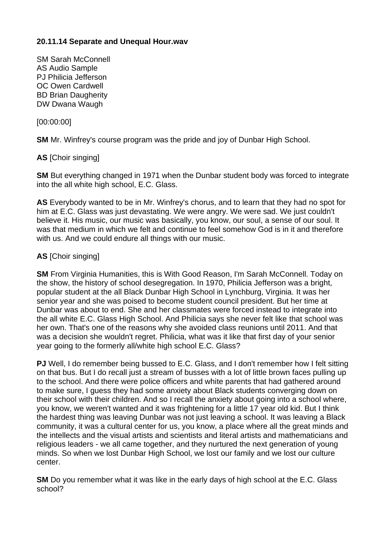# **20.11.14 Separate and Unequal Hour.wav**

SM Sarah McConnell AS Audio Sample PJ Philicia Jefferson OC Owen Cardwell BD Brian Daugherity DW Dwana Waugh

[00:00:00]

**SM** Mr. Winfrey's course program was the pride and joy of Dunbar High School.

**AS** [Choir singing]

**SM** But everything changed in 1971 when the Dunbar student body was forced to integrate into the all white high school, E.C. Glass.

**AS** Everybody wanted to be in Mr. Winfrey's chorus, and to learn that they had no spot for him at E.C. Glass was just devastating. We were angry. We were sad. We just couldn't believe it. His music, our music was basically, you know, our soul, a sense of our soul. It was that medium in which we felt and continue to feel somehow God is in it and therefore with us. And we could endure all things with our music.

## **AS** [Choir singing]

**SM** From Virginia Humanities, this is With Good Reason, I'm Sarah McConnell. Today on the show, the history of school desegregation. In 1970, Philicia Jefferson was a bright, popular student at the all Black Dunbar High School in Lynchburg, Virginia. It was her senior year and she was poised to become student council president. But her time at Dunbar was about to end. She and her classmates were forced instead to integrate into the all white E.C. Glass High School. And Philicia says she never felt like that school was her own. That's one of the reasons why she avoided class reunions until 2011. And that was a decision she wouldn't regret. Philicia, what was it like that first day of your senior year going to the formerly all/white high school E.C. Glass?

**PJ** Well, I do remember being bussed to E.C. Glass, and I don't remember how I felt sitting on that bus. But I do recall just a stream of busses with a lot of little brown faces pulling up to the school. And there were police officers and white parents that had gathered around to make sure, I guess they had some anxiety about Black students converging down on their school with their children. And so I recall the anxiety about going into a school where, you know, we weren't wanted and it was frightening for a little 17 year old kid. But I think the hardest thing was leaving Dunbar was not just leaving a school. It was leaving a Black community, it was a cultural center for us, you know, a place where all the great minds and the intellects and the visual artists and scientists and literal artists and mathematicians and religious leaders - we all came together, and they nurtured the next generation of young minds. So when we lost Dunbar High School, we lost our family and we lost our culture center.

**SM** Do you remember what it was like in the early days of high school at the E.C. Glass school?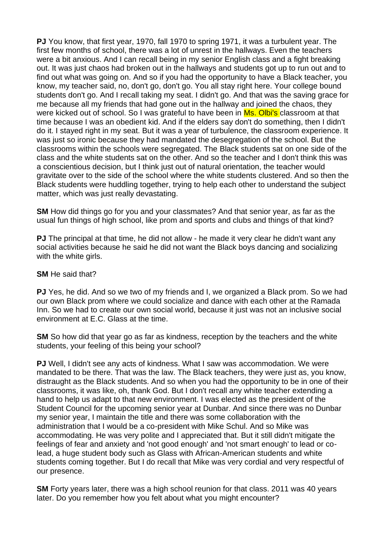**PJ** You know, that first year, 1970, fall 1970 to spring 1971, it was a turbulent year. The first few months of school, there was a lot of unrest in the hallways. Even the teachers were a bit anxious. And I can recall being in my senior English class and a fight breaking out. It was just chaos had broken out in the hallways and students got up to run out and to find out what was going on. And so if you had the opportunity to have a Black teacher, you know, my teacher said, no, don't go, don't go. You all stay right here. Your college bound students don't go. And I recall taking my seat. I didn't go. And that was the saving grace for me because all my friends that had gone out in the hallway and joined the chaos, they were kicked out of school. So I was grateful to have been in Ms. Olbi's classroom at that time because I was an obedient kid. And if the elders say don't do something, then I didn't do it. I stayed right in my seat. But it was a year of turbulence, the classroom experience. It was just so ironic because they had mandated the desegregation of the school. But the classrooms within the schools were segregated. The Black students sat on one side of the class and the white students sat on the other. And so the teacher and I don't think this was a conscientious decision, but I think just out of natural orientation, the teacher would gravitate over to the side of the school where the white students clustered. And so then the Black students were huddling together, trying to help each other to understand the subject matter, which was just really devastating.

**SM** How did things go for you and your classmates? And that senior year, as far as the usual fun things of high school, like prom and sports and clubs and things of that kind?

**PJ** The principal at that time, he did not allow - he made it very clear he didn't want any social activities because he said he did not want the Black boys dancing and socializing with the white girls.

#### **SM** He said that?

**PJ** Yes, he did. And so we two of my friends and I, we organized a Black prom. So we had our own Black prom where we could socialize and dance with each other at the Ramada Inn. So we had to create our own social world, because it just was not an inclusive social environment at E.C. Glass at the time.

**SM** So how did that year go as far as kindness, reception by the teachers and the white students, your feeling of this being your school?

**PJ** Well, I didn't see any acts of kindness. What I saw was accommodation. We were mandated to be there. That was the law. The Black teachers, they were just as, you know, distraught as the Black students. And so when you had the opportunity to be in one of their classrooms, it was like, oh, thank God. But I don't recall any white teacher extending a hand to help us adapt to that new environment. I was elected as the president of the Student Council for the upcoming senior year at Dunbar. And since there was no Dunbar my senior year, I maintain the title and there was some collaboration with the administration that I would be a co-president with Mike Schul. And so Mike was accommodating. He was very polite and I appreciated that. But it still didn't mitigate the feelings of fear and anxiety and 'not good enough' and 'not smart enough' to lead or colead, a huge student body such as Glass with African-American students and white students coming together. But I do recall that Mike was very cordial and very respectful of our presence.

**SM** Forty years later, there was a high school reunion for that class. 2011 was 40 years later. Do you remember how you felt about what you might encounter?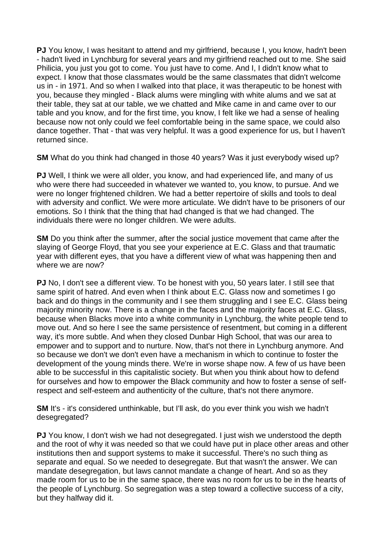**PJ** You know, I was hesitant to attend and my girlfriend, because I, you know, hadn't been - hadn't lived in Lynchburg for several years and my girlfriend reached out to me. She said Philicia, you just you got to come. You just have to come. And I, I didn't know what to expect. I know that those classmates would be the same classmates that didn't welcome us in - in 1971. And so when I walked into that place, it was therapeutic to be honest with you, because they mingled - Black alums were mingling with white alums and we sat at their table, they sat at our table, we we chatted and Mike came in and came over to our table and you know, and for the first time, you know, I felt like we had a sense of healing because now not only could we feel comfortable being in the same space, we could also dance together. That - that was very helpful. It was a good experience for us, but I haven't returned since.

**SM** What do you think had changed in those 40 years? Was it just everybody wised up?

**PJ** Well, I think we were all older, you know, and had experienced life, and many of us who were there had succeeded in whatever we wanted to, you know, to pursue. And we were no longer frightened children. We had a better repertoire of skills and tools to deal with adversity and conflict. We were more articulate. We didn't have to be prisoners of our emotions. So I think that the thing that had changed is that we had changed. The individuals there were no longer children. We were adults.

**SM** Do you think after the summer, after the social justice movement that came after the slaying of George Floyd, that you see your experience at E.C. Glass and that traumatic year with different eyes, that you have a different view of what was happening then and where we are now?

**PJ** No, I don't see a different view. To be honest with you, 50 years later. I still see that same spirit of hatred. And even when I think about E.C. Glass now and sometimes I go back and do things in the community and I see them struggling and I see E.C. Glass being majority minority now. There is a change in the faces and the majority faces at E.C. Glass, because when Blacks move into a white community in Lynchburg, the white people tend to move out. And so here I see the same persistence of resentment, but coming in a different way, it's more subtle. And when they closed Dunbar High School, that was our area to empower and to support and to nurture. Now, that's not there in Lynchburg anymore. And so because we don't we don't even have a mechanism in which to continue to foster the development of the young minds there. We're in worse shape now. A few of us have been able to be successful in this capitalistic society. But when you think about how to defend for ourselves and how to empower the Black community and how to foster a sense of selfrespect and self-esteem and authenticity of the culture, that's not there anymore.

**SM** It's - it's considered unthinkable, but I'll ask, do you ever think you wish we hadn't desegregated?

**PJ** You know, I don't wish we had not desegregated. I just wish we understood the depth and the root of why it was needed so that we could have put in place other areas and other institutions then and support systems to make it successful. There's no such thing as separate and equal. So we needed to desegregate. But that wasn't the answer. We can mandate desegregation, but laws cannot mandate a change of heart. And so as they made room for us to be in the same space, there was no room for us to be in the hearts of the people of Lynchburg. So segregation was a step toward a collective success of a city, but they halfway did it.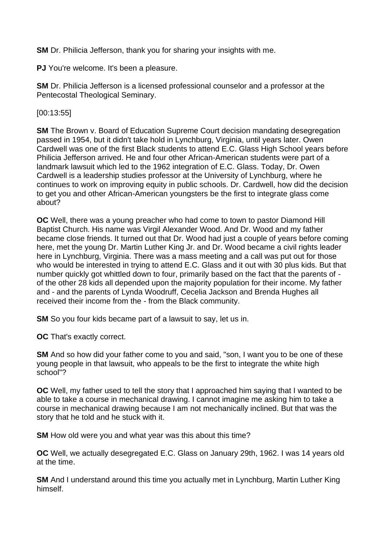**SM** Dr. Philicia Jefferson, thank you for sharing your insights with me.

**PJ** You're welcome. It's been a pleasure.

**SM** Dr. Philicia Jefferson is a licensed professional counselor and a professor at the Pentecostal Theological Seminary.

[00:13:55]

**SM** The Brown v. Board of Education Supreme Court decision mandating desegregation passed in 1954, but it didn't take hold in Lynchburg, Virginia, until years later. Owen Cardwell was one of the first Black students to attend E.C. Glass High School years before Philicia Jefferson arrived. He and four other African-American students were part of a landmark lawsuit which led to the 1962 integration of E.C. Glass. Today, Dr. Owen Cardwell is a leadership studies professor at the University of Lynchburg, where he continues to work on improving equity in public schools. Dr. Cardwell, how did the decision to get you and other African-American youngsters be the first to integrate glass come about?

**OC** Well, there was a young preacher who had come to town to pastor Diamond Hill Baptist Church. His name was Virgil Alexander Wood. And Dr. Wood and my father became close friends. It turned out that Dr. Wood had just a couple of years before coming here, met the young Dr. Martin Luther King Jr. and Dr. Wood became a civil rights leader here in Lynchburg, Virginia. There was a mass meeting and a call was put out for those who would be interested in trying to attend E.C. Glass and it out with 30 plus kids. But that number quickly got whittled down to four, primarily based on the fact that the parents of of the other 28 kids all depended upon the majority population for their income. My father and - and the parents of Lynda Woodruff, Cecelia Jackson and Brenda Hughes all received their income from the - from the Black community.

**SM** So you four kids became part of a lawsuit to say, let us in.

**OC** That's exactly correct.

**SM** And so how did your father come to you and said, "son, I want you to be one of these young people in that lawsuit, who appeals to be the first to integrate the white high school"?

**OC** Well, my father used to tell the story that I approached him saying that I wanted to be able to take a course in mechanical drawing. I cannot imagine me asking him to take a course in mechanical drawing because I am not mechanically inclined. But that was the story that he told and he stuck with it.

**SM** How old were you and what year was this about this time?

**OC** Well, we actually desegregated E.C. Glass on January 29th, 1962. I was 14 years old at the time.

**SM** And I understand around this time you actually met in Lynchburg, Martin Luther King himself.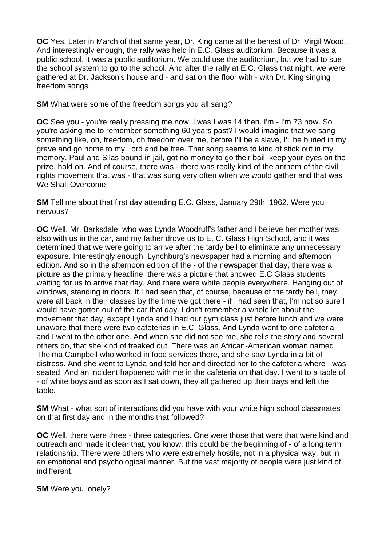**OC** Yes. Later in March of that same year, Dr. King came at the behest of Dr. Virgil Wood. And interestingly enough, the rally was held in E.C. Glass auditorium. Because it was a public school, it was a public auditorium. We could use the auditorium, but we had to sue the school system to go to the school. And after the rally at E.C. Glass that night, we were gathered at Dr. Jackson's house and - and sat on the floor with - with Dr. King singing freedom songs.

**SM** What were some of the freedom songs you all sang?

**OC** See you - you're really pressing me now. I was I was 14 then. I'm - I'm 73 now. So you're asking me to remember something 60 years past? I would imagine that we sang something like, oh, freedom, oh freedom over me, before I'll be a slave, I'll be buried in my grave and go home to my Lord and be free. That song seems to kind of stick out in my memory. Paul and Silas bound in jail, got no money to go their bail, keep your eyes on the prize, hold on. And of course, there was - there was really kind of the anthem of the civil rights movement that was - that was sung very often when we would gather and that was We Shall Overcome.

**SM** Tell me about that first day attending E.C. Glass, January 29th, 1962. Were you nervous?

**OC** Well, Mr. Barksdale, who was Lynda Woodruff's father and I believe her mother was also with us in the car, and my father drove us to E. C. Glass High School, and it was determined that we were going to arrive after the tardy bell to eliminate any unnecessary exposure. Interestingly enough, Lynchburg's newspaper had a morning and afternoon edition. And so in the afternoon edition of the - of the newspaper that day, there was a picture as the primary headline, there was a picture that showed E.C Glass students waiting for us to arrive that day. And there were white people everywhere. Hanging out of windows, standing in doors. If I had seen that, of course, because of the tardy bell, they were all back in their classes by the time we got there - if I had seen that, I'm not so sure I would have gotten out of the car that day. I don't remember a whole lot about the movement that day, except Lynda and I had our gym class just before lunch and we were unaware that there were two cafeterias in E.C. Glass. And Lynda went to one cafeteria and I went to the other one. And when she did not see me, she tells the story and several others do, that she kind of freaked out. There was an African-American woman named Thelma Campbell who worked in food services there, and she saw Lynda in a bit of distress. And she went to Lynda and told her and directed her to the cafeteria where I was seated. And an incident happened with me in the cafeteria on that day. I went to a table of - of white boys and as soon as I sat down, they all gathered up their trays and left the table.

**SM** What - what sort of interactions did you have with your white high school classmates on that first day and in the months that followed?

**OC** Well, there were three - three categories. One were those that were that were kind and outreach and made it clear that, you know, this could be the beginning of - of a long term relationship. There were others who were extremely hostile, not in a physical way, but in an emotional and psychological manner. But the vast majority of people were just kind of indifferent.

**SM** Were you lonely?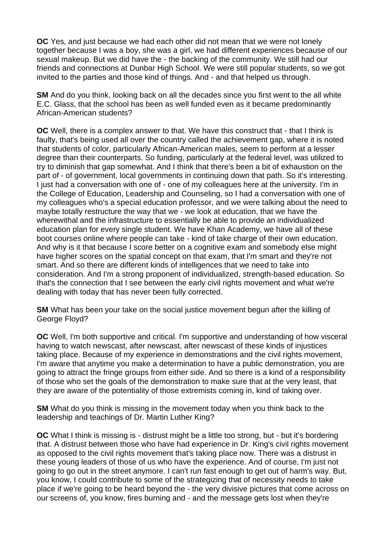**OC** Yes, and just because we had each other did not mean that we were not lonely together because I was a boy, she was a girl, we had different experiences because of our sexual makeup. But we did have the - the backing of the community. We still had our friends and connections at Dunbar High School. We were still popular students, so we got invited to the parties and those kind of things. And - and that helped us through.

**SM** And do you think, looking back on all the decades since you first went to the all white E.C. Glass, that the school has been as well funded even as it became predominantly African-American students?

**OC** Well, there is a complex answer to that. We have this construct that - that I think is faulty, that's being used all over the country called the achievement gap, where it is noted that students of color, particularly African-American males, seem to perform at a lesser degree than their counterparts. So funding, particularly at the federal level, was utilized to try to diminish that gap somewhat. And I think that there's been a bit of exhaustion on the part of - of government, local governments in continuing down that path. So it's interesting. I just had a conversation with one of - one of my colleagues here at the university. I'm in the College of Education, Leadership and Counseling, so I had a conversation with one of my colleagues who's a special education professor, and we were talking about the need to maybe totally restructure the way that we - we look at education, that we have the wherewithal and the infrastructure to essentially be able to provide an individualized education plan for every single student. We have Khan Academy, we have all of these boot courses online where people can take - kind of take charge of their own education. And why is it that because I score better on a cognitive exam and somebody else might have higher scores on the spatial concept on that exam, that I'm smart and they're not smart. And so there are different kinds of intelligences that we need to take into consideration. And I'm a strong proponent of individualized, strength-based education. So that's the connection that I see between the early civil rights movement and what we're dealing with today that has never been fully corrected.

**SM** What has been your take on the social justice movement begun after the killing of George Floyd?

**OC** Well, I'm both supportive and critical. I'm supportive and understanding of how visceral having to watch newscast, after newscast, after newscast of these kinds of injustices taking place. Because of my experience in demonstrations and the civil rights movement, I'm aware that anytime you make a determination to have a public demonstration, you are going to attract the fringe groups from either side. And so there is a kind of a responsibility of those who set the goals of the demonstration to make sure that at the very least, that they are aware of the potentiality of those extremists coming in, kind of taking over.

**SM** What do you think is missing in the movement today when you think back to the leadership and teachings of Dr. Martin Luther King?

**OC** What I think is missing is - distrust might be a little too strong, but - but it's bordering that. A distrust between those who have had experience in Dr. King's civil rights movement as opposed to the civil rights movement that's taking place now. There was a distrust in these young leaders of those of us who have the experience. And of course, I'm just not going to go out in the street anymore. I can't run fast enough to get out of harm's way. But, you know, I could contribute to some of the strategizing that of necessity needs to take place if we're going to be heard beyond the - the very divisive pictures that come across on our screens of, you know, fires burning and - and the message gets lost when they're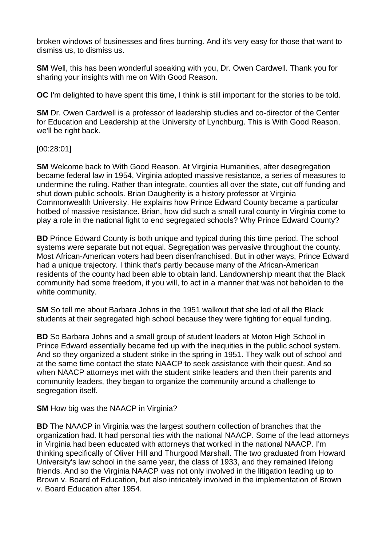broken windows of businesses and fires burning. And it's very easy for those that want to dismiss us, to dismiss us.

**SM** Well, this has been wonderful speaking with you, Dr. Owen Cardwell. Thank you for sharing your insights with me on With Good Reason.

**OC** I'm delighted to have spent this time, I think is still important for the stories to be told.

**SM** Dr. Owen Cardwell is a professor of leadership studies and co-director of the Center for Education and Leadership at the University of Lynchburg. This is With Good Reason, we'll be right back.

## [00:28:01]

**SM** Welcome back to With Good Reason. At Virginia Humanities, after desegregation became federal law in 1954, Virginia adopted massive resistance, a series of measures to undermine the ruling. Rather than integrate, counties all over the state, cut off funding and shut down public schools. Brian Daugherity is a history professor at Virginia Commonwealth University. He explains how Prince Edward County became a particular hotbed of massive resistance. Brian, how did such a small rural county in Virginia come to play a role in the national fight to end segregated schools? Why Prince Edward County?

**BD** Prince Edward County is both unique and typical during this time period. The school systems were separate but not equal. Segregation was pervasive throughout the county. Most African-American voters had been disenfranchised. But in other ways, Prince Edward had a unique trajectory. I think that's partly because many of the African-American residents of the county had been able to obtain land. Landownership meant that the Black community had some freedom, if you will, to act in a manner that was not beholden to the white community.

**SM** So tell me about Barbara Johns in the 1951 walkout that she led of all the Black students at their segregated high school because they were fighting for equal funding.

**BD** So Barbara Johns and a small group of student leaders at Moton High School in Prince Edward essentially became fed up with the inequities in the public school system. And so they organized a student strike in the spring in 1951. They walk out of school and at the same time contact the state NAACP to seek assistance with their quest. And so when NAACP attorneys met with the student strike leaders and then their parents and community leaders, they began to organize the community around a challenge to segregation itself.

**SM** How big was the NAACP in Virginia?

**BD** The NAACP in Virginia was the largest southern collection of branches that the organization had. It had personal ties with the national NAACP. Some of the lead attorneys in Virginia had been educated with attorneys that worked in the national NAACP. I'm thinking specifically of Oliver Hill and Thurgood Marshall. The two graduated from Howard University's law school in the same year, the class of 1933, and they remained lifelong friends. And so the Virginia NAACP was not only involved in the litigation leading up to Brown v. Board of Education, but also intricately involved in the implementation of Brown v. Board Education after 1954.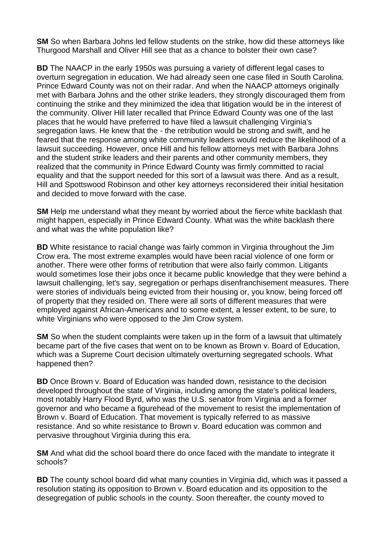**SM** So when Barbara Johns led fellow students on the strike, how did these attorneys like Thurgood Marshall and Oliver Hill see that as a chance to bolster their own case?

**BD** The NAACP in the early 1950s was pursuing a variety of different legal cases to overturn segregation in education. We had already seen one case filed in South Carolina. Prince Edward County was not on their radar. And when the NAACP attorneys originally met with Barbara Johns and the other strike leaders, they strongly discouraged them from continuing the strike and they minimized the idea that litigation would be in the interest of the community. Oliver Hill later recalled that Prince Edward County was one of the last places that he would have preferred to have filed a lawsuit challenging Virginia's segregation laws. He knew that the - the retribution would be strong and swift, and he feared that the response among white community leaders would reduce the likelihood of a lawsuit succeeding. However, once Hill and his fellow attorneys met with Barbara Johns and the student strike leaders and their parents and other community members, they realized that the community in Prince Edward County was firmly committed to racial equality and that the support needed for this sort of a lawsuit was there. And as a result, Hill and Spottswood Robinson and other key attorneys reconsidered their initial hesitation and decided to move forward with the case.

**SM** Help me understand what they meant by worried about the fierce white backlash that might happen, especially in Prince Edward County. What was the white backlash there and what was the white population like?

**BD** White resistance to racial change was fairly common in Virginia throughout the Jim Crow era. The most extreme examples would have been racial violence of one form or another. There were other forms of retribution that were also fairly common. Litigants would sometimes lose their jobs once it became public knowledge that they were behind a lawsuit challenging, let's say, segregation or perhaps disenfranchisement measures. There were stories of individuals being evicted from their housing or, you know, being forced off of property that they resided on. There were all sorts of different measures that were employed against African-Americans and to some extent, a lesser extent, to be sure, to white Virginians who were opposed to the Jim Crow system.

**SM** So when the student complaints were taken up in the form of a lawsuit that ultimately became part of the five cases that went on to be known as Brown v. Board of Education, which was a Supreme Court decision ultimately overturning segregated schools. What happened then?

**BD** Once Brown v. Board of Education was handed down, resistance to the decision developed throughout the state of Virginia, including among the state's political leaders, most notably Harry Flood Byrd, who was the U.S. senator from Virginia and a former governor and who became a figurehead of the movement to resist the implementation of Brown v. Board of Education. That movement is typically referred to as massive resistance. And so white resistance to Brown v. Board education was common and pervasive throughout Virginia during this era.

**SM** And what did the school board there do once faced with the mandate to integrate it schools?

**BD** The county school board did what many counties in Virginia did, which was it passed a resolution stating its opposition to Brown v. Board education and its opposition to the desegregation of public schools in the county. Soon thereafter, the county moved to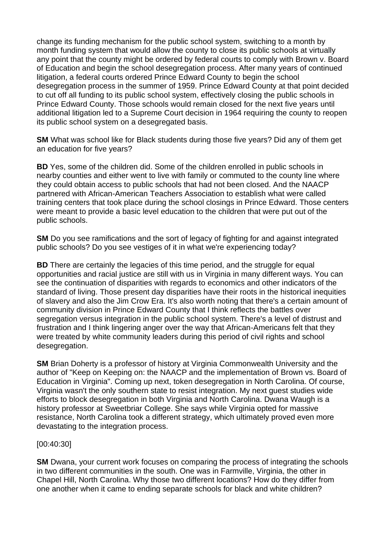change its funding mechanism for the public school system, switching to a month by month funding system that would allow the county to close its public schools at virtually any point that the county might be ordered by federal courts to comply with Brown v. Board of Education and begin the school desegregation process. After many years of continued litigation, a federal courts ordered Prince Edward County to begin the school desegregation process in the summer of 1959. Prince Edward County at that point decided to cut off all funding to its public school system, effectively closing the public schools in Prince Edward County. Those schools would remain closed for the next five years until additional litigation led to a Supreme Court decision in 1964 requiring the county to reopen its public school system on a desegregated basis.

**SM** What was school like for Black students during those five years? Did any of them get an education for five years?

**BD** Yes, some of the children did. Some of the children enrolled in public schools in nearby counties and either went to live with family or commuted to the county line where they could obtain access to public schools that had not been closed. And the NAACP partnered with African-American Teachers Association to establish what were called training centers that took place during the school closings in Prince Edward. Those centers were meant to provide a basic level education to the children that were put out of the public schools.

**SM** Do you see ramifications and the sort of legacy of fighting for and against integrated public schools? Do you see vestiges of it in what we're experiencing today?

**BD** There are certainly the legacies of this time period, and the struggle for equal opportunities and racial justice are still with us in Virginia in many different ways. You can see the continuation of disparities with regards to economics and other indicators of the standard of living. Those present day disparities have their roots in the historical inequities of slavery and also the Jim Crow Era. It's also worth noting that there's a certain amount of community division in Prince Edward County that I think reflects the battles over segregation versus integration in the public school system. There's a level of distrust and frustration and I think lingering anger over the way that African-Americans felt that they were treated by white community leaders during this period of civil rights and school desegregation.

**SM** Brian Doherty is a professor of history at Virginia Commonwealth University and the author of "Keep on Keeping on: the NAACP and the implementation of Brown vs. Board of Education in Virginia". Coming up next, token desegregation in North Carolina. Of course, Virginia wasn't the only southern state to resist integration. My next guest studies wide efforts to block desegregation in both Virginia and North Carolina. Dwana Waugh is a history professor at Sweetbriar College. She says while Virginia opted for massive resistance, North Carolina took a different strategy, which ultimately proved even more devastating to the integration process.

## [00:40:30]

**SM** Dwana, your current work focuses on comparing the process of integrating the schools in two different communities in the south. One was in Farmville, Virginia, the other in Chapel Hill, North Carolina. Why those two different locations? How do they differ from one another when it came to ending separate schools for black and white children?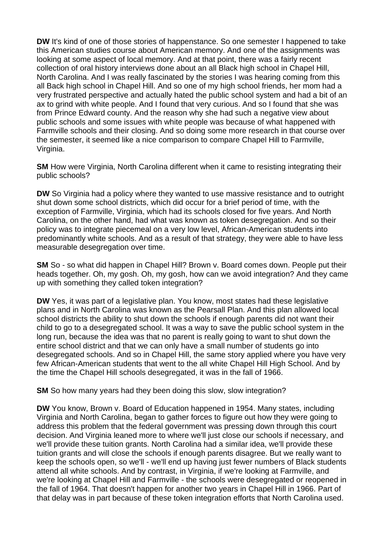**DW** It's kind of one of those stories of happenstance. So one semester I happened to take this American studies course about American memory. And one of the assignments was looking at some aspect of local memory. And at that point, there was a fairly recent collection of oral history interviews done about an all Black high school in Chapel Hill, North Carolina. And I was really fascinated by the stories I was hearing coming from this all Back high school in Chapel Hill. And so one of my high school friends, her mom had a very frustrated perspective and actually hated the public school system and had a bit of an ax to grind with white people. And I found that very curious. And so I found that she was from Prince Edward county. And the reason why she had such a negative view about public schools and some issues with white people was because of what happened with Farmville schools and their closing. And so doing some more research in that course over the semester, it seemed like a nice comparison to compare Chapel Hill to Farmville, Virginia.

**SM** How were Virginia, North Carolina different when it came to resisting integrating their public schools?

**DW** So Virginia had a policy where they wanted to use massive resistance and to outright shut down some school districts, which did occur for a brief period of time, with the exception of Farmville, Virginia, which had its schools closed for five years. And North Carolina, on the other hand, had what was known as token desegregation. And so their policy was to integrate piecemeal on a very low level, African-American students into predominantly white schools. And as a result of that strategy, they were able to have less measurable desegregation over time.

**SM** So - so what did happen in Chapel Hill? Brown v. Board comes down. People put their heads together. Oh, my gosh. Oh, my gosh, how can we avoid integration? And they came up with something they called token integration?

**DW** Yes, it was part of a legislative plan. You know, most states had these legislative plans and in North Carolina was known as the Pearsall Plan. And this plan allowed local school districts the ability to shut down the schools if enough parents did not want their child to go to a desegregated school. It was a way to save the public school system in the long run, because the idea was that no parent is really going to want to shut down the entire school district and that we can only have a small number of students go into desegregated schools. And so in Chapel Hill, the same story applied where you have very few African-American students that went to the all white Chapel Hill High School. And by the time the Chapel Hill schools desegregated, it was in the fall of 1966.

**SM** So how many years had they been doing this slow, slow integration?

**DW** You know, Brown v. Board of Education happened in 1954. Many states, including Virginia and North Carolina, began to gather forces to figure out how they were going to address this problem that the federal government was pressing down through this court decision. And Virginia leaned more to where we'll just close our schools if necessary, and we'll provide these tuition grants. North Carolina had a similar idea, we'll provide these tuition grants and will close the schools if enough parents disagree. But we really want to keep the schools open, so we'll - we'll end up having just fewer numbers of Black students attend all white schools. And by contrast, in Virginia, if we're looking at Farmville, and we're looking at Chapel Hill and Farmville - the schools were desegregated or reopened in the fall of 1964. That doesn't happen for another two years in Chapel Hill in 1966. Part of that delay was in part because of these token integration efforts that North Carolina used.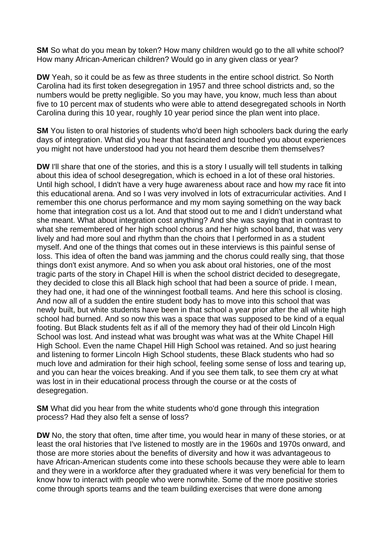**SM** So what do you mean by token? How many children would go to the all white school? How many African-American children? Would go in any given class or year?

**DW** Yeah, so it could be as few as three students in the entire school district. So North Carolina had its first token desegregation in 1957 and three school districts and, so the numbers would be pretty negligible. So you may have, you know, much less than about five to 10 percent max of students who were able to attend desegregated schools in North Carolina during this 10 year, roughly 10 year period since the plan went into place.

**SM** You listen to oral histories of students who'd been high schoolers back during the early days of integration. What did you hear that fascinated and touched you about experiences you might not have understood had you not heard them describe them themselves?

**DW** I'll share that one of the stories, and this is a story I usually will tell students in talking about this idea of school desegregation, which is echoed in a lot of these oral histories. Until high school, I didn't have a very huge awareness about race and how my race fit into this educational arena. And so I was very involved in lots of extracurricular activities. And I remember this one chorus performance and my mom saying something on the way back home that integration cost us a lot. And that stood out to me and I didn't understand what she meant. What about integration cost anything? And she was saying that in contrast to what she remembered of her high school chorus and her high school band, that was very lively and had more soul and rhythm than the choirs that I performed in as a student myself. And one of the things that comes out in these interviews is this painful sense of loss. This idea of often the band was jamming and the chorus could really sing, that those things don't exist anymore. And so when you ask about oral histories, one of the most tragic parts of the story in Chapel Hill is when the school district decided to desegregate, they decided to close this all Black high school that had been a source of pride. I mean, they had one, it had one of the winningest football teams. And here this school is closing. And now all of a sudden the entire student body has to move into this school that was newly built, but white students have been in that school a year prior after the all white high school had burned. And so now this was a space that was supposed to be kind of a equal footing. But Black students felt as if all of the memory they had of their old Lincoln High School was lost. And instead what was brought was what was at the White Chapel Hill High School. Even the name Chapel Hill High School was retained. And so just hearing and listening to former Lincoln High School students, these Black students who had so much love and admiration for their high school, feeling some sense of loss and tearing up, and you can hear the voices breaking. And if you see them talk, to see them cry at what was lost in in their educational process through the course or at the costs of desegregation.

**SM** What did you hear from the white students who'd gone through this integration process? Had they also felt a sense of loss?

**DW** No, the story that often, time after time, you would hear in many of these stories, or at least the oral histories that I've listened to mostly are in the 1960s and 1970s onward, and those are more stories about the benefits of diversity and how it was advantageous to have African-American students come into these schools because they were able to learn and they were in a workforce after they graduated where it was very beneficial for them to know how to interact with people who were nonwhite. Some of the more positive stories come through sports teams and the team building exercises that were done among